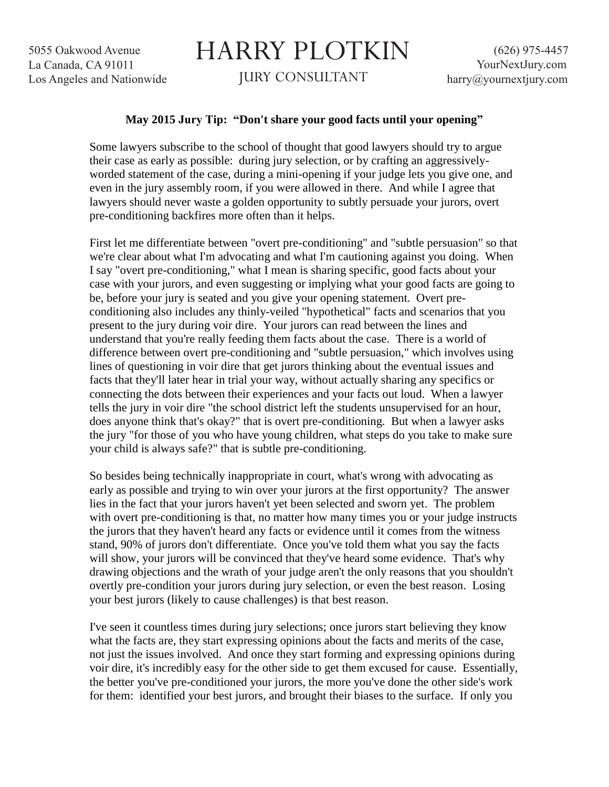5055 Oakwood Avenue La Canada, CA 91011 Los Angeles and Nationwide

## HARRY PLOTKIN

JURY CONSULTANT

## **May 2015 Jury Tip: "Don't share your good facts until your opening"**

Some lawyers subscribe to the school of thought that good lawyers should try to argue their case as early as possible: during jury selection, or by crafting an aggressivelyworded statement of the case, during a mini-opening if your judge lets you give one, and even in the jury assembly room, if you were allowed in there. And while I agree that lawyers should never waste a golden opportunity to subtly persuade your jurors, overt pre-conditioning backfires more often than it helps.

First let me differentiate between "overt pre-conditioning" and "subtle persuasion" so that we're clear about what I'm advocating and what I'm cautioning against you doing. When I say "overt pre-conditioning," what I mean is sharing specific, good facts about your case with your jurors, and even suggesting or implying what your good facts are going to be, before your jury is seated and you give your opening statement. Overt preconditioning also includes any thinly-veiled "hypothetical" facts and scenarios that you present to the jury during voir dire. Your jurors can read between the lines and understand that you're really feeding them facts about the case. There is a world of difference between overt pre-conditioning and "subtle persuasion," which involves using lines of questioning in voir dire that get jurors thinking about the eventual issues and facts that they'll later hear in trial your way, without actually sharing any specifics or connecting the dots between their experiences and your facts out loud. When a lawyer tells the jury in voir dire "the school district left the students unsupervised for an hour, does anyone think that's okay?" that is overt pre-conditioning. But when a lawyer asks the jury "for those of you who have young children, what steps do you take to make sure your child is always safe?" that is subtle pre-conditioning.

So besides being technically inappropriate in court, what's wrong with advocating as early as possible and trying to win over your jurors at the first opportunity? The answer lies in the fact that your jurors haven't yet been selected and sworn yet. The problem with overt pre-conditioning is that, no matter how many times you or your judge instructs the jurors that they haven't heard any facts or evidence until it comes from the witness stand, 90% of jurors don't differentiate. Once you've told them what you say the facts will show, your jurors will be convinced that they've heard some evidence. That's why drawing objections and the wrath of your judge aren't the only reasons that you shouldn't overtly pre-condition your jurors during jury selection, or even the best reason. Losing your best jurors (likely to cause challenges) is that best reason.

I've seen it countless times during jury selections; once jurors start believing they know what the facts are, they start expressing opinions about the facts and merits of the case, not just the issues involved. And once they start forming and expressing opinions during voir dire, it's incredibly easy for the other side to get them excused for cause. Essentially, the better you've pre-conditioned your jurors, the more you've done the other side's work for them: identified your best jurors, and brought their biases to the surface. If only you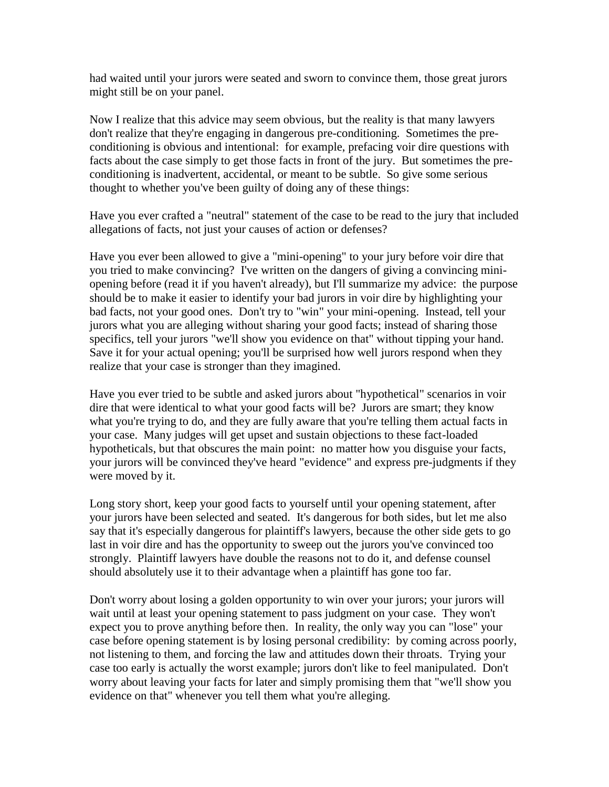had waited until your jurors were seated and sworn to convince them, those great jurors might still be on your panel.

Now I realize that this advice may seem obvious, but the reality is that many lawyers don't realize that they're engaging in dangerous pre-conditioning. Sometimes the preconditioning is obvious and intentional: for example, prefacing voir dire questions with facts about the case simply to get those facts in front of the jury. But sometimes the preconditioning is inadvertent, accidental, or meant to be subtle. So give some serious thought to whether you've been guilty of doing any of these things:

Have you ever crafted a "neutral" statement of the case to be read to the jury that included allegations of facts, not just your causes of action or defenses?

Have you ever been allowed to give a "mini-opening" to your jury before voir dire that you tried to make convincing? I've written on the dangers of giving a convincing miniopening before (read it if you haven't already), but I'll summarize my advice: the purpose should be to make it easier to identify your bad jurors in voir dire by highlighting your bad facts, not your good ones. Don't try to "win" your mini-opening. Instead, tell your jurors what you are alleging without sharing your good facts; instead of sharing those specifics, tell your jurors "we'll show you evidence on that" without tipping your hand. Save it for your actual opening; you'll be surprised how well jurors respond when they realize that your case is stronger than they imagined.

Have you ever tried to be subtle and asked jurors about "hypothetical" scenarios in voir dire that were identical to what your good facts will be? Jurors are smart; they know what you're trying to do, and they are fully aware that you're telling them actual facts in your case. Many judges will get upset and sustain objections to these fact-loaded hypotheticals, but that obscures the main point: no matter how you disguise your facts, your jurors will be convinced they've heard "evidence" and express pre-judgments if they were moved by it.

Long story short, keep your good facts to yourself until your opening statement, after your jurors have been selected and seated. It's dangerous for both sides, but let me also say that it's especially dangerous for plaintiff's lawyers, because the other side gets to go last in voir dire and has the opportunity to sweep out the jurors you've convinced too strongly. Plaintiff lawyers have double the reasons not to do it, and defense counsel should absolutely use it to their advantage when a plaintiff has gone too far.

Don't worry about losing a golden opportunity to win over your jurors; your jurors will wait until at least your opening statement to pass judgment on your case. They won't expect you to prove anything before then. In reality, the only way you can "lose" your case before opening statement is by losing personal credibility: by coming across poorly, not listening to them, and forcing the law and attitudes down their throats. Trying your case too early is actually the worst example; jurors don't like to feel manipulated. Don't worry about leaving your facts for later and simply promising them that "we'll show you evidence on that" whenever you tell them what you're alleging.